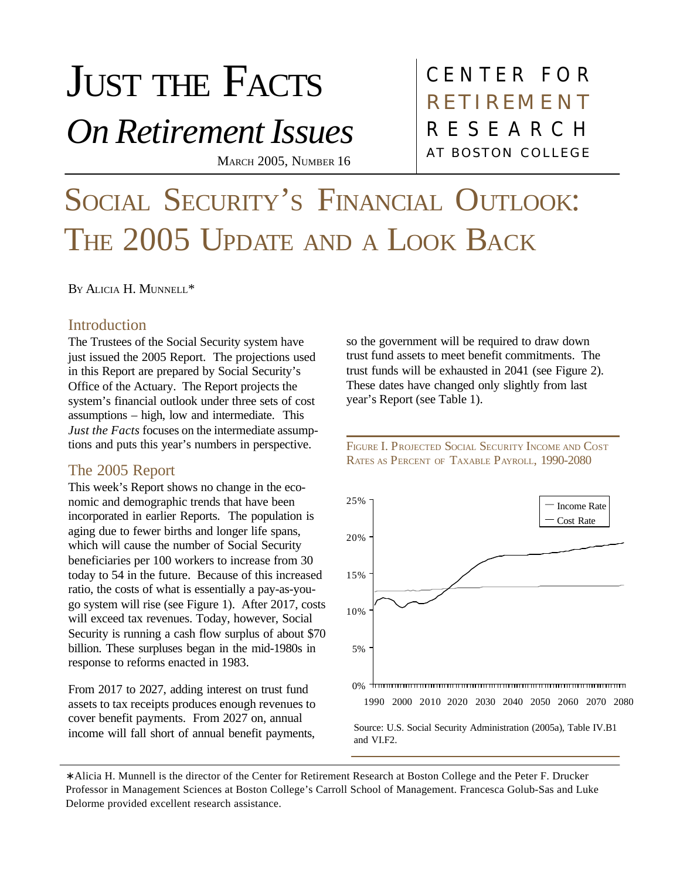# JUST THE FACTS

*On Retirement Issues*

MARCH 2005, NUMBER 16

### CENTER FOR AT BOSTON COLLEGE RESEARCH **RETIREMENT**

## SOCIAL SECURITY'S FINANCIAL OUTLOOK: THE 2005 UPDATE AND A LOOK BACK

B<sup>Y</sup> ALICIA H. MUNNELL\*

#### **Introduction**

The Trustees of the Social Security system have just issued the 2005 Report. The projections used in this Report are prepared by Social Security's Office of the Actuary. The Report projects the system's financial outlook under three sets of cost assumptions – high, low and intermediate. This *Just the Facts* focuses on the intermediate assumptions and puts this year's numbers in perspective.

#### The 2005 Report

This week's Report shows no change in the economic and demographic trends that have been incorporated in earlier Reports. The population is aging due to fewer births and longer life spans, which will cause the number of Social Security beneficiaries per 100 workers to increase from 30 today to 54 in the future. Because of this increased ratio, the costs of what is essentially a pay-as-yougo system will rise (see Figure 1). After 2017, costs will exceed tax revenues. Today, however, Social Security is running a cash flow surplus of about \$70 billion. These surpluses began in the mid-1980s in response to reforms enacted in 1983.

From 2017 to 2027, adding interest on trust fund assets to tax receipts produces enough revenues to cover benefit payments. From 2027 on, annual income will fall short of annual benefit payments, so the government will be required to draw down trust fund assets to meet benefit commitments. The trust funds will be exhausted in 2041 (see Figure 2). These dates have changed only slightly from last year's Report (see Table 1).

FIGURE I. PROJECTED SOCIAL SECURITY INCOME AND COST RATES AS PERCENT OF TAXABLE PAYROLL, 1990-2080



∗ Alicia H. Munnell is the director of the Center for Retirement Research at Boston College and the Peter F. Drucker Professor in Management Sciences at Boston College's Carroll School of Management. Francesca Golub-Sas and Luke Delorme provided excellent research assistance.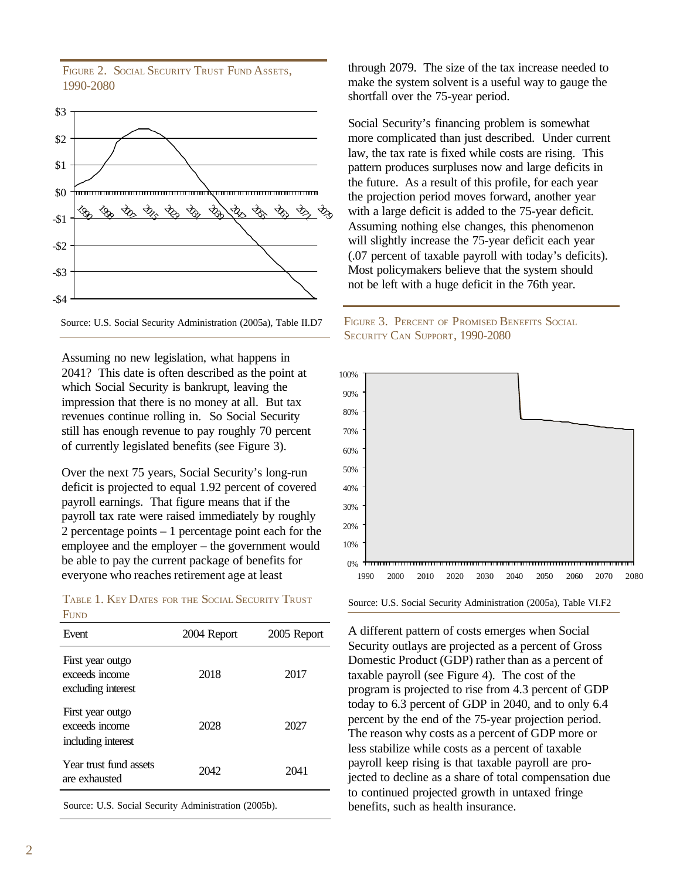FIGURE 2. SOCIAL SECURITY TRUST FUND ASSETS. 1990-2080





Assuming no new legislation, what happens in 2041? This date is often described as the point at which Social Security is bankrupt, leaving the impression that there is no money at all. But tax revenues continue rolling in. So Social Security still has enough revenue to pay roughly 70 percent of currently legislated benefits (see Figure 3).

Over the next 75 years, Social Security's long-run deficit is projected to equal 1.92 percent of covered payroll earnings. That figure means that if the payroll tax rate were raised immediately by roughly 2 percentage points – 1 percentage point each for the employee and the employer – the government would be able to pay the current package of benefits for everyone who reaches retirement age at least

TABLE 1. KEY DATES FOR THE SOCIAL SECURITY TRUST **FUND** 

| Event                                                    | 2004 Report | 2005 Report |
|----------------------------------------------------------|-------------|-------------|
| First year outgo<br>exceeds income<br>excluding interest | 2018        | 2017        |
| First year outgo<br>exceeds income<br>including interest | 2028        | 2027        |
| Year trust fund assets<br>are exhausted                  | 2042        | 2041        |

Source: U.S. Social Security Administration (2005b).

through 2079. The size of the tax increase needed to make the system solvent is a useful way to gauge the shortfall over the 75-year period.

Social Security's financing problem is somewhat more complicated than just described. Under current law, the tax rate is fixed while costs are rising. This pattern produces surpluses now and large deficits in the future. As a result of this profile, for each year the projection period moves forward, another year with a large deficit is added to the 75-year deficit. Assuming nothing else changes, this phenomenon will slightly increase the 75-year deficit each year (.07 percent of taxable payroll with today's deficits). Most policymakers believe that the system should not be left with a huge deficit in the 76th year.





Source: U.S. Social Security Administration (2005a), Table VI.F2

A different pattern of costs emerges when Social Security outlays are projected as a percent of Gross Domestic Product (GDP) rather than as a percent of taxable payroll (see Figure 4). The cost of the program is projected to rise from 4.3 percent of GDP today to 6.3 percent of GDP in 2040, and to only 6.4 percent by the end of the 75-year projection period. The reason why costs as a percent of GDP more or less stabilize while costs as a percent of taxable payroll keep rising is that taxable payroll are projected to decline as a share of total compensation due to continued projected growth in untaxed fringe benefits, such as health insurance.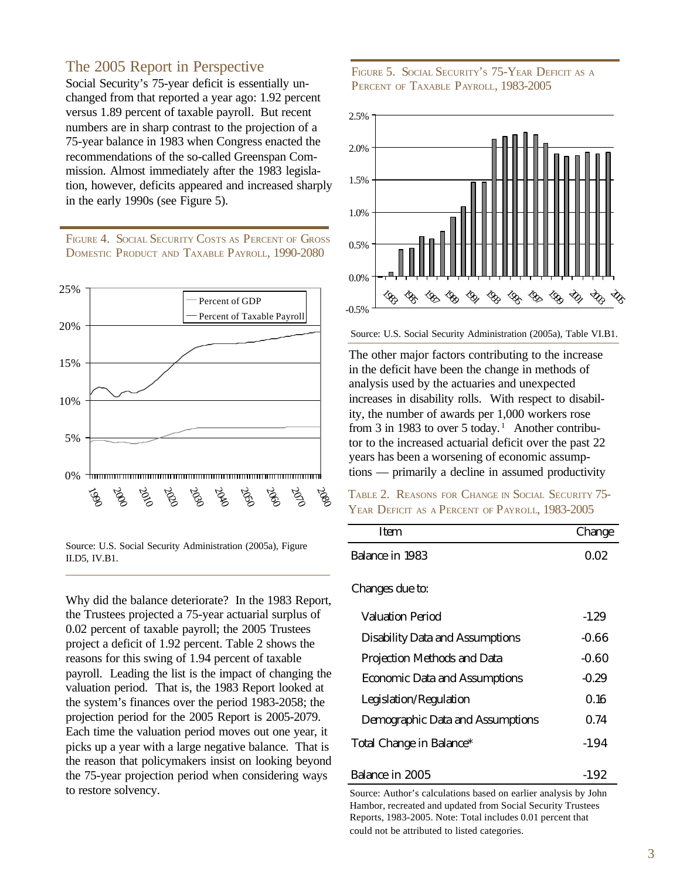#### The 2005 Report in Perspective

Social Security's 75-year deficit is essentially unchanged from that reported a year ago: 1.92 percent versus 1.89 percent of taxable payroll. But recent numbers are in sharp contrast to the projection of a 75-year balance in 1983 when Congress enacted the recommendations of the so-called Greenspan Commission. Almost immediately after the 1983 legislation, however, deficits appeared and increased sharply in the early 1990s (see Figure 5).

FIGURE 4. SOCIAL SECURITY COSTS AS PERCENT OF GROSS DOMESTIC PRODUCT AND TAXABLE PAYROLL, 1990-2080



Source: U.S. Social Security Administration (2005a), Figure II.D5, IV.B1.

Why did the balance deteriorate? In the 1983 Report, the Trustees projected a 75-year actuarial surplus of 0.02 percent of taxable payroll; the 2005 Trustees project a deficit of 1.92 percent. Table 2 shows the reasons for this swing of 1.94 percent of taxable payroll. Leading the list is the impact of changing the valuation period. That is, the 1983 Report looked at the system's finances over the period 1983-2058; the projection period for the 2005 Report is 2005-2079. Each time the valuation period moves out one year, it picks up a year with a large negative balance. That is the reason that policymakers insist on looking beyond the 75-year projection period when considering ways to restore solvency.

FIGURE 5. SOCIAL SECURITY'S 75-YEAR DEFICIT AS A PERCENT OF TAXABLE PAYROLL, 1983-2005



Source: U.S. Social Security Administration (2005a), Table VI.B1.

The other major factors contributing to the increase in the deficit have been the change in methods of analysis used by the actuaries and unexpected increases in disability rolls. With respect to disability, the number of awards per 1,000 workers rose from 3 in 1983 to over 5 today.<sup>1</sup> Another contributor to the increased actuarial deficit over the past 22 years has been a worsening of economic assumptions — primarily a decline in assumed productivity

|  | TABLE 2. REASONS FOR CHANGE IN SOCIAL SECURITY 75- |  |
|--|----------------------------------------------------|--|
|  | YEAR DEFICIT AS A PERCENT OF PAYROLL, 1983-2005    |  |

| <b>Item</b>                             | Change  |
|-----------------------------------------|---------|
| Balance in 1983                         | 0.02    |
| Changes due to:                         |         |
| Valuation Period                        | $-1.29$ |
| <b>Disability Data and Assumptions</b>  | $-0.66$ |
| <b>Projection Methods and Data</b>      | $-0.60$ |
| <b>Economic Data and Assumptions</b>    | $-0.29$ |
| Legislation/Regulation                  | 0.16    |
| <b>Demographic Data and Assumptions</b> | 0.74    |
| Total Change in Balance*                | $-1.94$ |
|                                         |         |

#### Balance in 2005 -1.92

Source: Author's calculations based on earlier analysis by John Hambor, recreated and updated from Social Security Trustees Reports, 1983-2005. Note: Total includes 0.01 percent that could not be attributed to listed categories.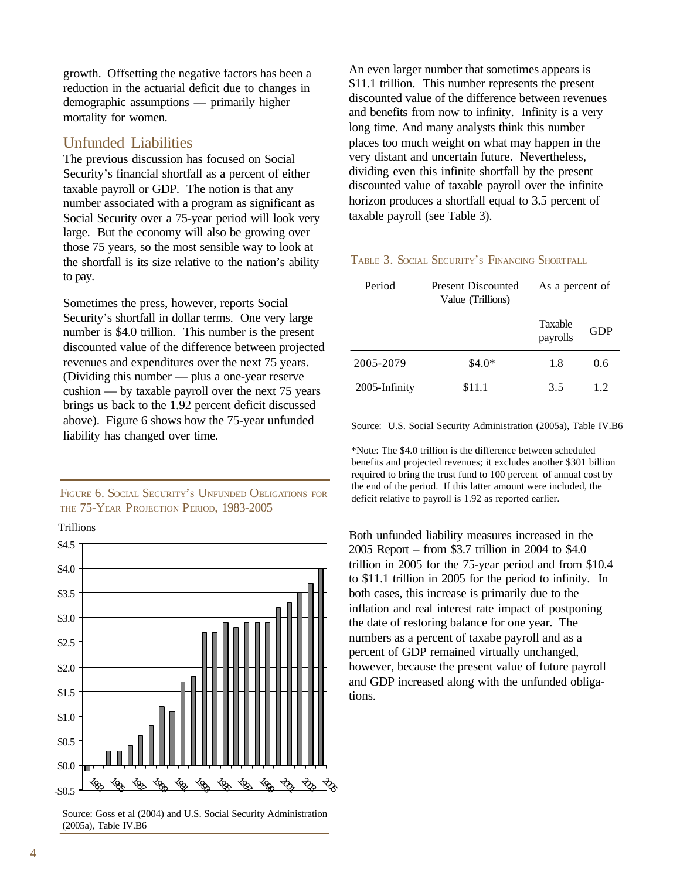growth. Offsetting the negative factors has been a reduction in the actuarial deficit due to changes in demographic assumptions — primarily higher mortality for women.

#### Unfunded Liabilities

The previous discussion has focused on Social Security's financial shortfall as a percent of either taxable payroll or GDP. The notion is that any number associated with a program as significant as Social Security over a 75-year period will look very large. But the economy will also be growing over those 75 years, so the most sensible way to look at the shortfall is its size relative to the nation's ability to pay.

Sometimes the press, however, reports Social Security's shortfall in dollar terms. One very large number is \$4.0 trillion. This number is the present discounted value of the difference between projected revenues and expenditures over the next 75 years. (Dividing this number — plus a one-year reserve cushion — by taxable payroll over the next 75 years brings us back to the 1.92 percent deficit discussed above). Figure 6 shows how the 75-year unfunded liability has changed over time.

FIGURE 6. SOCIAL SECURITY'S UNFUNDED OBLIGATIONS FOR THE 75-YEAR PROJECTION PERIOD, 1983-2005

**Trillions** 



Source: Goss et al (2004) and U.S. Social Security Administration (2005a), Table IV.B6

An even larger number that sometimes appears is \$11.1 trillion. This number represents the present discounted value of the difference between revenues and benefits from now to infinity. Infinity is a very long time. And many analysts think this number places too much weight on what may happen in the very distant and uncertain future. Nevertheless, dividing even this infinite shortfall by the present discounted value of taxable payroll over the infinite horizon produces a shortfall equal to 3.5 percent of taxable payroll (see Table 3).

#### TABLE 3. SOCIAL SECURITY'S FINANCING SHORTFALL

| Period        | Present Discounted<br>Value (Trillions) | As a percent of     |     |
|---------------|-----------------------------------------|---------------------|-----|
|               |                                         | Taxable<br>payrolls | GDP |
| 2005-2079     | $$4.0*$                                 | 1.8                 | 0.6 |
| 2005-Infinity | \$11.1                                  | 3.5                 | 12  |

Source: U.S. Social Security Administration (2005a), Table IV.B6

\*Note: The \$4.0 trillion is the difference between scheduled benefits and projected revenues; it excludes another \$301 billion required to bring the trust fund to 100 percent of annual cost by the end of the period. If this latter amount were included, the deficit relative to payroll is 1.92 as reported earlier.

Both unfunded liability measures increased in the 2005 Report – from \$3.7 trillion in 2004 to \$4.0 trillion in 2005 for the 75-year period and from \$10.4 to \$11.1 trillion in 2005 for the period to infinity. In both cases, this increase is primarily due to the inflation and real interest rate impact of postponing the date of restoring balance for one year. The numbers as a percent of taxabe payroll and as a percent of GDP remained virtually unchanged, however, because the present value of future payroll and GDP increased along with the unfunded obligations.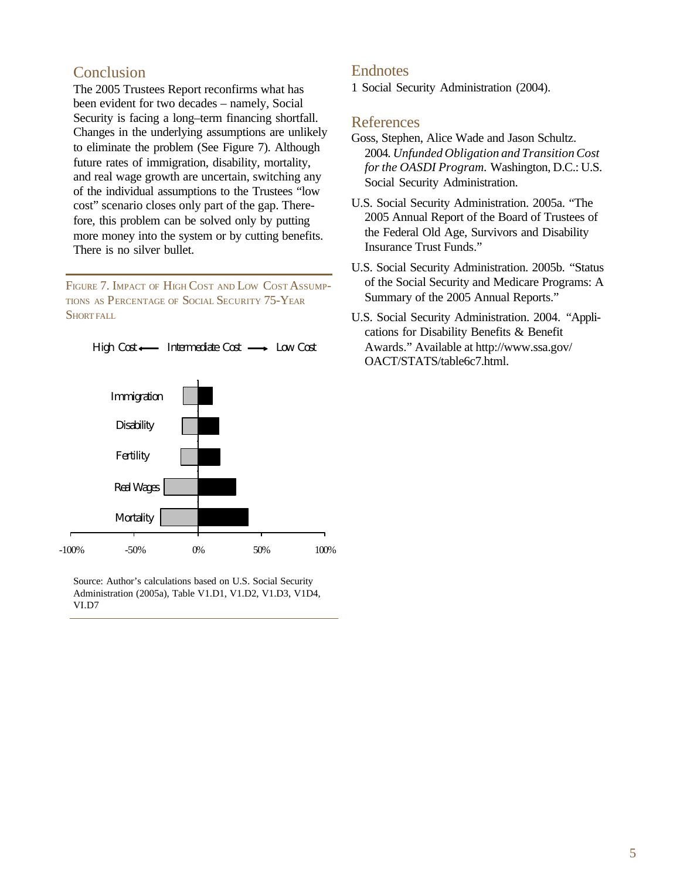#### Conclusion

The 2005 Trustees Report reconfirms what has been evident for two decades – namely, Social Security is facing a long–term financing shortfall. Changes in the underlying assumptions are unlikely to eliminate the problem (See Figure 7). Although future rates of immigration, disability, mortality, and real wage growth are uncertain, switching any of the individual assumptions to the Trustees "low cost" scenario closes only part of the gap. Therefore, this problem can be solved only by putting more money into the system or by cutting benefits. There is no silver bullet.

FIGURE 7. IMPACT OF HIGH COST AND LOW COST ASSUMP-TIONS AS PERCENTAGE OF SOCIAL SECURITY 75-YEAR SHORT FALL



Source: Author's calculations based on U.S. Social Security Administration (2005a), Table V1.D1, V1.D2, V1.D3, V1D4, VI.D7

#### **Endnotes**

1 Social Security Administration (2004).

#### References

- Goss, Stephen, Alice Wade and Jason Schultz. 2004*. Unfunded Obligation and Transition Cost for the OASDI Program.* Washington, D.C.: U.S. Social Security Administration.
- U.S. Social Security Administration. 2005a. "The 2005 Annual Report of the Board of Trustees of the Federal Old Age, Survivors and Disability Insurance Trust Funds."
- U.S. Social Security Administration. 2005b. "Status of the Social Security and Medicare Programs: A Summary of the 2005 Annual Reports."
- U.S. Social Security Administration. 2004. "Applications for Disability Benefits & Benefit Awards." Available at http://www.ssa.gov/ OACT/STATS/table6c7.html.